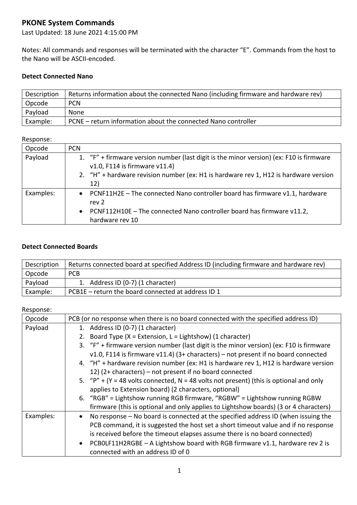# **PKONE System Commands**

Last Updated: 18 June 2021 4:15:00 PM

Notes: All commands and responses will be terminated with the character "E". Commands from the host to the Nano will be ASCII-encoded.

# **Detect Connected Nano**

| Description | Returns information about the connected Nano (including firmware and hardware rev) |
|-------------|------------------------------------------------------------------------------------|
| Opcode      | <b>PCN</b>                                                                         |
| Payload     | None                                                                               |
| Example:    | PCNE – return information about the connected Nano controller                      |

### Response:

| Opcode    | <b>PCN</b>                                                                                                                                                                                                             |
|-----------|------------------------------------------------------------------------------------------------------------------------------------------------------------------------------------------------------------------------|
| Payload   | 1. "F" + firmware version number (last digit is the minor version) (ex: F10 is firmware<br>$v1.0$ , F114 is firmware $v11.4$ )<br>2. "H" + hardware revision number (ex: H1 is hardware rev 1, H12 is hardware version |
|           | 12)                                                                                                                                                                                                                    |
| Examples: | • PCNF11H2E - The connected Nano controller board has firmware v1.1, hardware<br>rev 2                                                                                                                                 |
|           | • PCNF112H10E - The connected Nano controller board has firmware v11.2,<br>hardware rev 10                                                                                                                             |

# **Detect Connected Boards**

| Description | Returns connected board at specified Address ID (including firmware and hardware rev) |
|-------------|---------------------------------------------------------------------------------------|
| Opcode      | <b>PCB</b>                                                                            |
| Payload     | 1. Address ID (0-7) (1 character)                                                     |
| Example:    | PCB1E – return the board connected at address ID 1                                    |

| Opcode    | PCB (or no response when there is no board connected with the specified address ID)            |
|-----------|------------------------------------------------------------------------------------------------|
| Payload   | 1. Address ID (0-7) (1 character)                                                              |
|           | 2. Board Type (X = Extension, L = Lightshow) (1 character)                                     |
|           | 3. "F" + firmware version number (last digit is the minor version) (ex: F10 is firmware        |
|           | v1.0, F114 is firmware v11.4) (3+ characters) – not present if no board connected              |
|           | 4. "H" + hardware revision number (ex: H1 is hardware rev 1, H12 is hardware version           |
|           | 12) (2+ characters) – not present if no board connected                                        |
|           | 5. "P" + (Y = 48 volts connected, N = 48 volts not present) (this is optional and only         |
|           | applies to Extension board) (2 characters, optional)                                           |
|           | 6. "RGB" = Lightshow running RGB firmware, "RGBW" = Lightshow running RGBW                     |
|           | firmware (this is optional and only applies to Lightshow boards) (3 or 4 characters)           |
| Examples: | No response – No board is connected at the specified address ID (when issuing the<br>$\bullet$ |
|           | PCB command, it is suggested the host set a short timeout value and if no response             |
|           | is received before the timeout elapses assume there is no board connected)                     |
|           | PCBOLF11H2RGBE - A Lightshow board with RGB firmware v1.1, hardware rev 2 is<br>$\bullet$      |
|           | connected with an address ID of 0                                                              |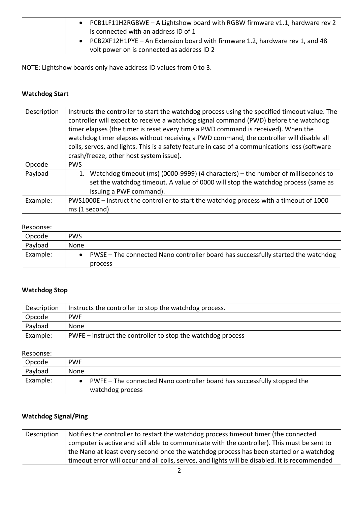| • PCB1LF11H2RGBWE - A Lightshow board with RGBW firmware $v1.1$ , hardware rev 2 |
|----------------------------------------------------------------------------------|
| is connected with an address ID of 1                                             |
| • PCB2XF12H1PYE - An Extension board with firmware 1.2, hardware rev 1, and 48   |
| volt power on is connected as address ID 2                                       |

NOTE: Lightshow boards only have address ID values from 0 to 3.

# **Watchdog Start**

| Description | Instructs the controller to start the watchdog process using the specified timeout value. The<br>controller will expect to receive a watchdog signal command (PWD) before the watchdog<br>timer elapses (the timer is reset every time a PWD command is received). When the<br>watchdog timer elapses without receiving a PWD command, the controller will disable all<br>coils, servos, and lights. This is a safety feature in case of a communications loss (software<br>crash/freeze, other host system issue). |
|-------------|---------------------------------------------------------------------------------------------------------------------------------------------------------------------------------------------------------------------------------------------------------------------------------------------------------------------------------------------------------------------------------------------------------------------------------------------------------------------------------------------------------------------|
| Opcode      | <b>PWS</b>                                                                                                                                                                                                                                                                                                                                                                                                                                                                                                          |
| Payload     | Watchdog timeout (ms) (0000-9999) (4 characters) – the number of milliseconds to<br>1.<br>set the watchdog timeout. A value of 0000 will stop the watchdog process (same as<br>issuing a PWF command).                                                                                                                                                                                                                                                                                                              |
| Example:    | PWS1000E – instruct the controller to start the watchdog process with a timeout of 1000<br>ms (1 second)                                                                                                                                                                                                                                                                                                                                                                                                            |

# Response:

| Opcode   | <b>PWS</b>                                                                       |
|----------|----------------------------------------------------------------------------------|
| Payload  | None                                                                             |
| Example: | PWSE – The connected Nano controller board has successfully started the watchdog |
|          | process                                                                          |

# **Watchdog Stop**

| Description | Instructs the controller to stop the watchdog process.      |
|-------------|-------------------------------------------------------------|
| Opcode      | <b>PWF</b>                                                  |
| Payload     | None                                                        |
| Example:    | PWFE – instruct the controller to stop the watchdog process |

Response:

| Opcode   | <b>PWF</b>                                                                                    |
|----------|-----------------------------------------------------------------------------------------------|
| Payload  | None                                                                                          |
| Example: | • PWFE – The connected Nano controller board has successfully stopped the<br>watchdog process |

# **Watchdog Signal/Ping**

| Description | Notifies the controller to restart the watchdog process timeout timer (the connected           |
|-------------|------------------------------------------------------------------------------------------------|
|             | computer is active and still able to communicate with the controller). This must be sent to    |
|             | the Nano at least every second once the watchdog process has been started or a watchdog        |
|             | timeout error will occur and all coils, servos, and lights will be disabled. It is recommended |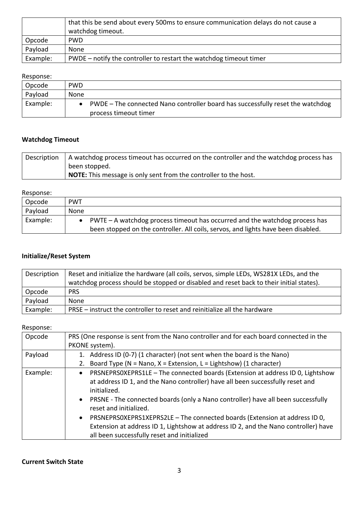|          | that this be send about every 500ms to ensure communication delays do not cause a<br>watchdog timeout. |
|----------|--------------------------------------------------------------------------------------------------------|
| Opcode   | <b>PWD</b>                                                                                             |
| Payload  | None                                                                                                   |
| Example: | PWDE – notify the controller to restart the watchdog timeout timer                                     |

| Opcode   | <b>PWD</b>                                                                     |
|----------|--------------------------------------------------------------------------------|
| Payload  | None                                                                           |
| Example: | PWDE – The connected Nano controller board has successfully reset the watchdog |
|          | process timeout timer                                                          |

# **Watchdog Timeout**

| Description | A watchdog process timeout has occurred on the controller and the watchdog process has |
|-------------|----------------------------------------------------------------------------------------|
|             | been stopped.                                                                          |
|             | <b>NOTE:</b> This message is only sent from the controller to the host.                |

#### Response:

| Opcode   | <b>PWT</b>                                                                        |
|----------|-----------------------------------------------------------------------------------|
| Payload  | None                                                                              |
| Example: | • PWTE – A watchdog process timeout has occurred and the watchdog process has     |
|          | been stopped on the controller. All coils, servos, and lights have been disabled. |

# **Initialize/Reset System**

| Description | Reset and initialize the hardware (all coils, servos, simple LEDs, WS281X LEDs, and the<br>watchdog process should be stopped or disabled and reset back to their initial states). |
|-------------|------------------------------------------------------------------------------------------------------------------------------------------------------------------------------------|
| Opcode      | <b>PRS</b>                                                                                                                                                                         |
| Payload     | None                                                                                                                                                                               |
| Example:    | PRSE – instruct the controller to reset and reinitialize all the hardware                                                                                                          |

| Opcode   | PRS (One response is sent from the Nano controller and for each board connected in the                                                                                                                                        |
|----------|-------------------------------------------------------------------------------------------------------------------------------------------------------------------------------------------------------------------------------|
|          | PKONE system).                                                                                                                                                                                                                |
| Payload  | 1. Address ID (0-7) (1 character) (not sent when the board is the Nano)                                                                                                                                                       |
|          | 2. Board Type (N = Nano, X = Extension, L = Lightshow) (1 character)                                                                                                                                                          |
| Example: | PRSNEPRSOXEPRS1LE - The connected boards (Extension at address ID 0, Lightshow<br>$\bullet$<br>at address ID 1, and the Nano controller) have all been successfully reset and<br>initialized.                                 |
|          | • PRSNE - The connected boards (only a Nano controller) have all been successfully<br>reset and initialized.                                                                                                                  |
|          | PRSNEPRSOXEPRS1XEPRS2LE - The connected boards (Extension at address ID 0,<br>$\bullet$<br>Extension at address ID 1, Lightshow at address ID 2, and the Nano controller) have<br>all been successfully reset and initialized |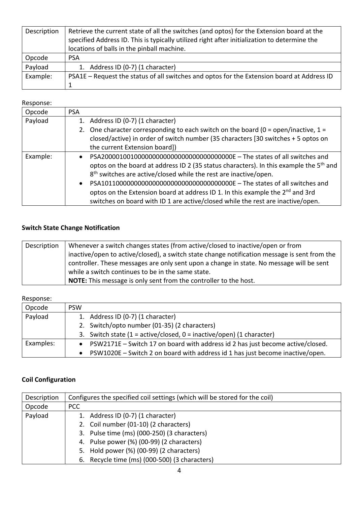| Description | Retrieve the current state of all the switches (and optos) for the Extension board at the<br>specified Address ID. This is typically utilized right after initialization to determine the<br>locations of balls in the pinball machine. |
|-------------|-----------------------------------------------------------------------------------------------------------------------------------------------------------------------------------------------------------------------------------------|
| Opcode      | <b>PSA</b>                                                                                                                                                                                                                              |
| Payload     | 1. Address ID (0-7) (1 character)                                                                                                                                                                                                       |
| Example:    | PSA1E - Request the status of all switches and optos for the Extension board at Address ID                                                                                                                                              |
|             |                                                                                                                                                                                                                                         |

| Opcode   | <b>PSA</b>                                                                                         |
|----------|----------------------------------------------------------------------------------------------------|
| Payload  | 1. Address ID (0-7) (1 character)                                                                  |
|          | 2. One character corresponding to each switch on the board ( $0 = open/inactive$ , $1 =$           |
|          | closed/active) in order of switch number (35 characters [30 switches + 5 optos on                  |
|          | the current Extension board])                                                                      |
| Example: |                                                                                                    |
|          | optos on the board at address ID 2 (35 status characters). In this example the 5 <sup>th</sup> and |
|          | 8 <sup>th</sup> switches are active/closed while the rest are inactive/open.                       |
|          | $\bullet$                                                                                          |
|          | optos on the Extension board at address ID 1. In this example the 2 <sup>nd</sup> and 3rd          |
|          | switches on board with ID 1 are active/closed while the rest are inactive/open.                    |

# **Switch State Change Notification**

| Description | Whenever a switch changes states (from active/closed to inactive/open or from                |
|-------------|----------------------------------------------------------------------------------------------|
|             | inactive/open to active/closed), a switch state change notification message is sent from the |
|             | controller. These messages are only sent upon a change in state. No message will be sent     |
|             | while a switch continues to be in the same state.                                            |
|             | <b>NOTE:</b> This message is only sent from the controller to the host.                      |

### Response:

| Opcode    | <b>PSW</b>                                                                       |
|-----------|----------------------------------------------------------------------------------|
| Payload   | 1. Address ID (0-7) (1 character)                                                |
|           | 2. Switch/opto number (01-35) (2 characters)                                     |
|           | 3. Switch state $(1 = active/closed, 0 = inactive/open)$ (1 character)           |
| Examples: | • PSW2171E - Switch 17 on board with address id 2 has just become active/closed. |
|           | • PSW1020E – Switch 2 on board with address id 1 has just become inactive/open.  |

# **Coil Configuration**

| Description | Configures the specified coil settings (which will be stored for the coil) |
|-------------|----------------------------------------------------------------------------|
| Opcode      | PCC                                                                        |
| Payload     | 1. Address ID (0-7) (1 character)                                          |
|             | 2. Coil number (01-10) (2 characters)                                      |
|             | 3. Pulse time (ms) (000-250) (3 characters)                                |
|             | 4. Pulse power (%) (00-99) (2 characters)                                  |
|             | 5. Hold power (%) (00-99) (2 characters)                                   |
|             | 6. Recycle time (ms) (000-500) (3 characters)                              |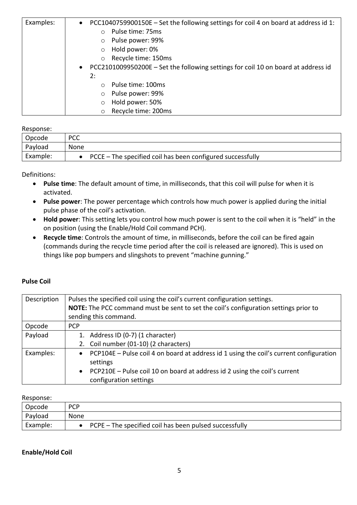| Examples: | PCC1040759900150E - Set the following settings for coil 4 on board at address id 1:<br>$\bullet$ |
|-----------|--------------------------------------------------------------------------------------------------|
|           | Pulse time: 75ms<br>$\circ$                                                                      |
|           | Pulse power: 99%                                                                                 |
|           | Hold power: 0%                                                                                   |
|           | Recycle time: 150ms                                                                              |
|           | PCC2101009950200E – Set the following settings for coil 10 on board at address id<br>$\bullet$   |
|           | 2:                                                                                               |
|           | Pulse time: 100ms                                                                                |
|           | Pulse power: 99%<br>$\circ$                                                                      |
|           | Hold power: 50%                                                                                  |
|           | Recycle time: 200ms<br>$\circ$                                                                   |

| Opcode   | <b>PCC</b>                                                   |
|----------|--------------------------------------------------------------|
| Payload  | <b>None</b>                                                  |
| Example: | • PCCE - The specified coil has been configured successfully |

Definitions:

- **Pulse time**: The default amount of time, in milliseconds, that this coil will pulse for when it is activated.
- **Pulse power**: The power percentage which controls how much power is applied during the initial pulse phase of the coil's activation.
- **Hold power**: This setting lets you control how much power is sent to the coil when it is "held" in the on position (using the Enable/Hold Coil command PCH).
- **Recycle time**: Controls the amount of time, in milliseconds, before the coil can be fired again (commands during the recycle time period after the coil is released are ignored). This is used on things like pop bumpers and slingshots to prevent "machine gunning."

| Description | Pulses the specified coil using the coil's current configuration settings.<br>NOTE: The PCC command must be sent to set the coil's configuration settings prior to<br>sending this command.                   |
|-------------|---------------------------------------------------------------------------------------------------------------------------------------------------------------------------------------------------------------|
| Opcode      | <b>PCP</b>                                                                                                                                                                                                    |
| Payload     | 1. Address ID (0-7) (1 character)<br>2. Coil number (01-10) (2 characters)                                                                                                                                    |
| Examples:   | • PCP104E – Pulse coil 4 on board at address id 1 using the coil's current configuration<br>settings<br>• PCP210E – Pulse coil 10 on board at address id 2 using the coil's current<br>configuration settings |

# **Pulse Coil**

## Response:

| Opcode   | <b>PCP</b>                                                 |
|----------|------------------------------------------------------------|
| Payload  | None                                                       |
| Example: | • PCPE $-$ The specified coil has been pulsed successfully |

### **Enable/Hold Coil**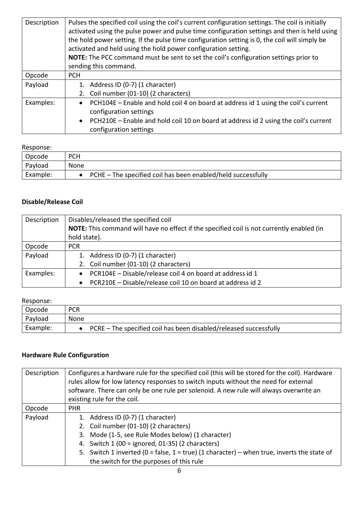| Description | Pulses the specified coil using the coil's current configuration settings. The coil is initially<br>activated using the pulse power and pulse time configuration settings and then is held using<br>the hold power setting. If the pulse time configuration setting is 0, the coil will simply be<br>activated and held using the hold power configuration setting.<br>NOTE: The PCC command must be sent to set the coil's configuration settings prior to<br>sending this command. |
|-------------|--------------------------------------------------------------------------------------------------------------------------------------------------------------------------------------------------------------------------------------------------------------------------------------------------------------------------------------------------------------------------------------------------------------------------------------------------------------------------------------|
| Opcode      | <b>PCH</b>                                                                                                                                                                                                                                                                                                                                                                                                                                                                           |
| Payload     | 1. Address ID (0-7) (1 character)                                                                                                                                                                                                                                                                                                                                                                                                                                                    |
|             | 2. Coil number (01-10) (2 characters)                                                                                                                                                                                                                                                                                                                                                                                                                                                |
| Examples:   | PCH104E - Enable and hold coil 4 on board at address id 1 using the coil's current<br>$\bullet$                                                                                                                                                                                                                                                                                                                                                                                      |
|             | configuration settings                                                                                                                                                                                                                                                                                                                                                                                                                                                               |
|             | PCH210E – Enable and hold coil 10 on board at address id 2 using the coil's current<br>$\bullet$                                                                                                                                                                                                                                                                                                                                                                                     |
|             | configuration settings                                                                                                                                                                                                                                                                                                                                                                                                                                                               |

| Opcode   | <b>PCH</b>                                                       |
|----------|------------------------------------------------------------------|
| Payload  | None                                                             |
| Example: | • PCHE $-$ The specified coil has been enabled/held successfully |

# **Disable/Release Coil**

| Description | Disables/released the specified coil                                                      |
|-------------|-------------------------------------------------------------------------------------------|
|             | NOTE: This command will have no effect if the specified coil is not currently enabled (in |
|             | hold state).                                                                              |
| Opcode      | <b>PCR</b>                                                                                |
| Payload     | 1. Address ID (0-7) (1 character)                                                         |
|             | 2. Coil number (01-10) (2 characters)                                                     |
| Examples:   | PCR104E - Disable/release coil 4 on board at address id 1<br>$\bullet$                    |
|             | PCR210E - Disable/release coil 10 on board at address id 2<br>$\bullet$                   |

# Response:

| Opcode   | <b>PCR</b>                                                            |
|----------|-----------------------------------------------------------------------|
| Payload  | None                                                                  |
| Example: | • PCRE $-$ The specified coil has been disabled/released successfully |

# **Hardware Rule Configuration**

| Description | Configures a hardware rule for the specified coil (this will be stored for the coil). Hardware<br>rules allow for low latency responses to switch inputs without the need for external<br>software. There can only be one rule per solenoid. A new rule will always overwrite an<br>existing rule for the coil. |
|-------------|-----------------------------------------------------------------------------------------------------------------------------------------------------------------------------------------------------------------------------------------------------------------------------------------------------------------|
| Opcode      | <b>PHR</b>                                                                                                                                                                                                                                                                                                      |
| Payload     | 1. Address ID (0-7) (1 character)                                                                                                                                                                                                                                                                               |
|             | 2. Coil number (01-10) (2 characters)                                                                                                                                                                                                                                                                           |
|             | 3. Mode (1-5, see Rule Modes below) (1 character)                                                                                                                                                                                                                                                               |
|             | 4. Switch 1 (00 = ignored, 01-35) (2 characters)                                                                                                                                                                                                                                                                |
|             | 5. Switch 1 inverted (0 = false, 1 = true) (1 character) – when true, inverts the state of                                                                                                                                                                                                                      |
|             | the switch for the purposes of this rule                                                                                                                                                                                                                                                                        |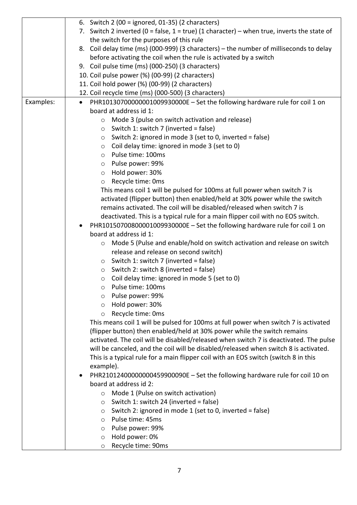|           | 6. Switch $2(00 =$ ignored, $01-35(2)$ characters)                                                                                                                |
|-----------|-------------------------------------------------------------------------------------------------------------------------------------------------------------------|
|           | 7. Switch 2 inverted (0 = false, $1 = true$ ) (1 character) – when true, inverts the state of                                                                     |
|           | the switch for the purposes of this rule                                                                                                                          |
|           | 8. Coil delay time (ms) (000-999) (3 characters) - the number of milliseconds to delay                                                                            |
|           | before activating the coil when the rule is activated by a switch                                                                                                 |
|           | 9. Coil pulse time (ms) (000-250) (3 characters)                                                                                                                  |
|           | 10. Coil pulse power (%) (00-99) (2 characters)                                                                                                                   |
|           | 11. Coil hold power (%) (00-99) (2 characters)                                                                                                                    |
|           | 12. Coil recycle time (ms) (000-500) (3 characters)                                                                                                               |
| Examples: | PHR10130700000001009930000E - Set the following hardware rule for coil 1 on<br>$\bullet$                                                                          |
|           | board at address id 1:                                                                                                                                            |
|           | Mode 3 (pulse on switch activation and release)<br>$\circ$                                                                                                        |
|           | Switch 1: switch 7 (inverted = false)<br>O                                                                                                                        |
|           | Switch 2: ignored in mode 3 (set to 0, inverted = false)<br>$\circ$                                                                                               |
|           | Coil delay time: ignored in mode 3 (set to 0)<br>$\circ$                                                                                                          |
|           | Pulse time: 100ms<br>$\circ$                                                                                                                                      |
|           | Pulse power: 99%<br>$\circ$                                                                                                                                       |
|           | Hold power: 30%<br>$\circ$                                                                                                                                        |
|           | Recycle time: Oms<br>$\circ$                                                                                                                                      |
|           | This means coil 1 will be pulsed for 100ms at full power when switch 7 is                                                                                         |
|           | activated (flipper button) then enabled/held at 30% power while the switch                                                                                        |
|           | remains activated. The coil will be disabled/released when switch 7 is                                                                                            |
|           | deactivated. This is a typical rule for a main flipper coil with no EOS switch.                                                                                   |
|           | PHR10150700800001009930000E - Set the following hardware rule for coil 1 on                                                                                       |
|           | board at address id 1:                                                                                                                                            |
|           | Mode 5 (Pulse and enable/hold on switch activation and release on switch<br>$\circ$                                                                               |
|           | release and release on second switch)                                                                                                                             |
|           | Switch 1: switch 7 (inverted = false)<br>$\circ$                                                                                                                  |
|           | Switch 2: switch 8 (inverted = false)<br>$\circ$                                                                                                                  |
|           | Coil delay time: ignored in mode 5 (set to 0)<br>$\circ$                                                                                                          |
|           | Pulse time: 100ms<br>O                                                                                                                                            |
|           | Pulse power: 99%<br>$\circ$                                                                                                                                       |
|           | Hold power: 30%<br>$\circ$                                                                                                                                        |
|           | Recycle time: Oms<br>$\circ$                                                                                                                                      |
|           | This means coil 1 will be pulsed for 100ms at full power when switch 7 is activated                                                                               |
|           | (flipper button) then enabled/held at 30% power while the switch remains<br>activated. The coil will be disabled/released when switch 7 is deactivated. The pulse |
|           | will be canceled, and the coil will be disabled/released when switch 8 is activated.                                                                              |
|           | This is a typical rule for a main flipper coil with an EOS switch (switch 8 in this                                                                               |
|           | example).                                                                                                                                                         |
|           | PHR21012400000000459900090E - Set the following hardware rule for coil 10 on<br>٠                                                                                 |
|           | board at address id 2:                                                                                                                                            |
|           | Mode 1 (Pulse on switch activation)<br>$\circ$                                                                                                                    |
|           | Switch 1: switch 24 (inverted = false)<br>O                                                                                                                       |
|           | Switch 2: ignored in mode 1 (set to 0, inverted = false)<br>O                                                                                                     |
|           | Pulse time: 45ms<br>$\circ$                                                                                                                                       |
|           | Pulse power: 99%<br>O                                                                                                                                             |
|           | Hold power: 0%<br>$\circ$                                                                                                                                         |
|           | Recycle time: 90ms<br>$\circ$                                                                                                                                     |
|           |                                                                                                                                                                   |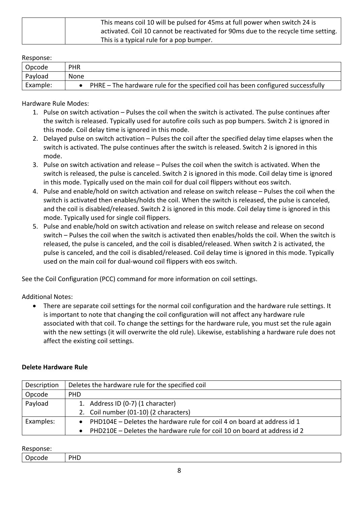| This means coil 10 will be pulsed for 45ms at full power when switch 24 is         |
|------------------------------------------------------------------------------------|
| activated. Coil 10 cannot be reactivated for 90ms due to the recycle time setting. |
| This is a typical rule for a pop bumper.                                           |

| Opcode   | <b>PHR</b>                                                                       |
|----------|----------------------------------------------------------------------------------|
| Payload  | <b>None</b>                                                                      |
| Example: | PHRE – The hardware rule for the specified coil has been configured successfully |

### Hardware Rule Modes:

- 1. Pulse on switch activation Pulses the coil when the switch is activated. The pulse continues after the switch is released. Typically used for autofire coils such as pop bumpers. Switch 2 is ignored in this mode. Coil delay time is ignored in this mode.
- 2. Delayed pulse on switch activation Pulses the coil after the specified delay time elapses when the switch is activated. The pulse continues after the switch is released. Switch 2 is ignored in this mode.
- 3. Pulse on switch activation and release Pulses the coil when the switch is activated. When the switch is released, the pulse is canceled. Switch 2 is ignored in this mode. Coil delay time is ignored in this mode. Typically used on the main coil for dual coil flippers without eos switch.
- 4. Pulse and enable/hold on switch activation and release on switch release Pulses the coil when the switch is activated then enables/holds the coil. When the switch is released, the pulse is canceled, and the coil is disabled/released. Switch 2 is ignored in this mode. Coil delay time is ignored in this mode. Typically used for single coil flippers.
- 5. Pulse and enable/hold on switch activation and release on switch release and release on second switch – Pulses the coil when the switch is activated then enables/holds the coil. When the switch is released, the pulse is canceled, and the coil is disabled/released. When switch 2 is activated, the pulse is canceled, and the coil is disabled/released. Coil delay time is ignored in this mode. Typically used on the main coil for dual-wound coil flippers with eos switch.

See the Coil Configuration (PCC) command for more information on coil settings.

Additional Notes:

• There are separate coil settings for the normal coil configuration and the hardware rule settings. It is important to note that changing the coil configuration will not affect any hardware rule associated with that coil. To change the settings for the hardware rule, you must set the rule again with the new settings (it will overwrite the old rule). Likewise, establishing a hardware rule does not affect the existing coil settings.

# **Delete Hardware Rule**

| Description | Deletes the hardware rule for the specified coil                                      |
|-------------|---------------------------------------------------------------------------------------|
| Opcode      | <b>PHD</b>                                                                            |
| Payload     | 1. Address ID (0-7) (1 character)                                                     |
|             | 2. Coil number (01-10) (2 characters)                                                 |
| Examples:   | • PHD104E – Deletes the hardware rule for coil 4 on board at address id 1             |
|             | PHD210E – Deletes the hardware rule for coil 10 on board at address id 2<br>$\bullet$ |

| ∽<br>Jocode | <b>DUD</b><br>ں . |
|-------------|-------------------|
|             |                   |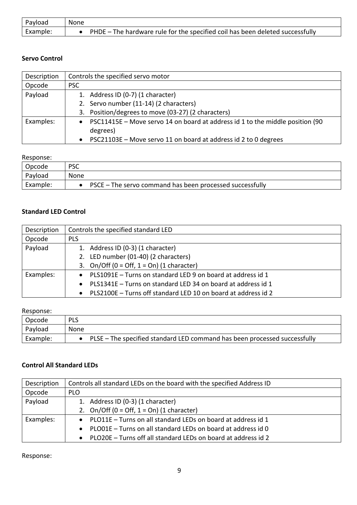| Payload  | None                                                                          |
|----------|-------------------------------------------------------------------------------|
| Example: | PHDE – The hardware rule for the specified coil has been deleted successfully |

## **Servo Control**

| Description | Controls the specified servo motor                                            |
|-------------|-------------------------------------------------------------------------------|
| Opcode      | <b>PSC</b>                                                                    |
| Payload     | 1. Address ID (0-7) (1 character)                                             |
|             | 2. Servo number (11-14) (2 characters)                                        |
|             | 3. Position/degrees to move (03-27) (2 characters)                            |
| Examples:   | PSC11415E – Move servo 14 on board at address id 1 to the middle position (90 |
|             | degrees)                                                                      |
|             | PSC21103E - Move servo 11 on board at address id 2 to 0 degrees               |

### Response:

| Opcode   | <b>PSC</b>                                               |
|----------|----------------------------------------------------------|
| Payload  | None                                                     |
| Example: | PSCE – The servo command has been processed successfully |
|          |                                                          |

# **Standard LED Control**

| Description | Controls the specified standard LED                             |
|-------------|-----------------------------------------------------------------|
| Opcode      | <b>PLS</b>                                                      |
| Payload     | 1. Address ID (0-3) (1 character)                               |
|             | 2. LED number (01-40) (2 characters)                            |
|             | 3. On/Off ( $0 =$ Off, $1 =$ On) (1 character)                  |
| Examples:   | • PLS1091E - Turns on standard LED 9 on board at address id 1   |
|             | • PLS1341E - Turns on standard LED 34 on board at address id 1  |
|             | • PLS2100E - Turns off standard LED 10 on board at address id 2 |

# Response:

| Opcode   | <b>PLS</b>                                                                  |
|----------|-----------------------------------------------------------------------------|
| Payload  | None                                                                        |
| Example: | • PLSE – The specified standard LED command has been processed successfully |

## **Control All Standard LEDs**

| Description | Controls all standard LEDs on the board with the specified Address ID |
|-------------|-----------------------------------------------------------------------|
| Opcode      | <b>PLO</b>                                                            |
| Payload     | 1. Address ID (0-3) (1 character)                                     |
|             | 2. On/Off $(0 = Off, 1 = On)$ (1 character)                           |
| Examples:   | • PLO11E – Turns on all standard LEDs on board at address id 1        |
|             | • PLO01E – Turns on all standard LEDs on board at address id 0        |
|             | • PLO20E - Turns off all standard LEDs on board at address id 2       |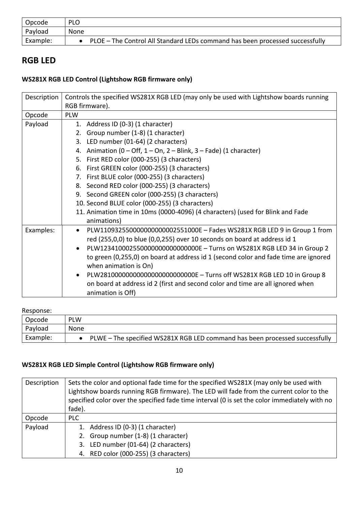| Opcode   | <b>PLO</b>                                                                     |
|----------|--------------------------------------------------------------------------------|
| Payload  | None                                                                           |
| Example: | • PLOE – The Control All Standard LEDs command has been processed successfully |

# **RGB LED**

# **WS281X RGB LED Control (Lightshow RGB firmware only)**

| Description | Controls the specified WS281X RGB LED (may only be used with Lightshow boards running    |
|-------------|------------------------------------------------------------------------------------------|
|             | RGB firmware).                                                                           |
| Opcode      | <b>PLW</b>                                                                               |
| Payload     | 1. Address ID (0-3) (1 character)                                                        |
|             | 2. Group number (1-8) (1 character)                                                      |
|             | 3. LED number (01-64) (2 characters)                                                     |
|             | 4. Animation ( $0$ – Off, $1$ – On, $2$ – Blink, $3$ – Fade) (1 character)               |
|             | 5. First RED color (000-255) (3 characters)                                              |
|             | 6. First GREEN color (000-255) (3 characters)                                            |
|             | 7. First BLUE color (000-255) (3 characters)                                             |
|             | 8. Second RED color (000-255) (3 characters)                                             |
|             | 9. Second GREEN color (000-255) (3 characters)                                           |
|             | 10. Second BLUE color (000-255) (3 characters)                                           |
|             | 11. Animation time in 10ms (0000-4096) (4 characters) (used for Blink and Fade           |
|             | animations)                                                                              |
| Examples:   | PLW110932550000000000002551000E - Fades WS281X RGB LED 9 in Group 1 from<br>$\bullet$    |
|             | red (255,0,0) to blue (0,0,255) over 10 seconds on board at address id 1                 |
|             | PLW12341000255000000000000000000E - Turns on WS281X RGB LED 34 in Group 2<br>$\bullet$   |
|             | to green (0,255,0) on board at address id 1 (second color and fade time are ignored      |
|             | when animation is On)                                                                    |
|             | PLW281000000000000000000000000000E - Turns off WS281X RGB LED 10 in Group 8<br>$\bullet$ |
|             | on board at address id 2 (first and second color and time are all ignored when           |
|             | animation is Off)                                                                        |

### Response:

| Opcode   | <b>PLW</b>                                                                  |
|----------|-----------------------------------------------------------------------------|
| Payload  | None                                                                        |
| Example: | PLWE - The specified WS281X RGB LED command has been processed successfully |

# **WS281X RGB LED Simple Control (Lightshow RGB firmware only)**

| Description | Sets the color and optional fade time for the specified WS281X (may only be used with<br>Lightshow boards running RGB firmware). The LED will fade from the current color to the<br>specified color over the specified fade time interval (0 is set the color immediately with no<br>fade). |
|-------------|---------------------------------------------------------------------------------------------------------------------------------------------------------------------------------------------------------------------------------------------------------------------------------------------|
| Opcode      | <b>PLC</b>                                                                                                                                                                                                                                                                                  |
| Payload     | 1. Address ID (0-3) (1 character)                                                                                                                                                                                                                                                           |
|             | 2. Group number (1-8) (1 character)                                                                                                                                                                                                                                                         |
|             | LED number (01-64) (2 characters)<br>3.                                                                                                                                                                                                                                                     |
|             | 4. RED color (000-255) (3 characters)                                                                                                                                                                                                                                                       |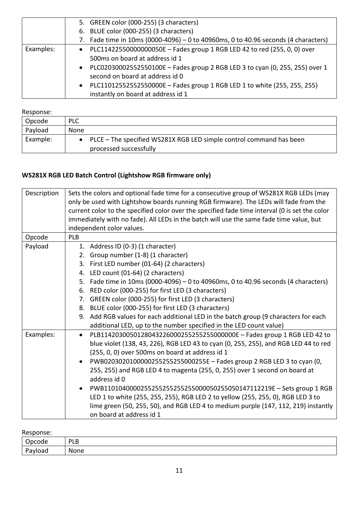|           | 5. GREEN color (000-255) (3 characters)                                                   |
|-----------|-------------------------------------------------------------------------------------------|
|           | 6. BLUE color (000-255) (3 characters)                                                    |
|           | 7. Fade time in 10ms (0000-4096) - 0 to 40960ms, 0 to 40.96 seconds (4 characters)        |
| Examples: | • PLC11422550000000050E - Fades group 1 RGB LED 42 to red (255, 0, 0) over                |
|           | 500ms on board at address id 1                                                            |
|           | PLC02030002552550100E - Fades group 2 RGB LED 3 to cyan (0, 255, 255) over 1<br>$\bullet$ |
|           | second on board at address id 0                                                           |
|           | PLC11012552552550000E - Fades group 1 RGB LED 1 to white (255, 255, 255)<br>$\bullet$     |
|           | instantly on board at address id 1                                                        |

| Opcode   | <b>PLC</b>                                                                                      |
|----------|-------------------------------------------------------------------------------------------------|
| Payload  | None                                                                                            |
| Example: | • PLCE – The specified WS281X RGB LED simple control command has been<br>processed successfully |

# **WS281X RGB LED Batch Control (Lightshow RGB firmware only)**

| Description | Sets the colors and optional fade time for a consecutive group of WS281X RGB LEDs (may<br>only be used with Lightshow boards running RGB firmware). The LEDs will fade from the<br>current color to the specified color over the specified fade time interval (0 is set the color<br>immediately with no fade). All LEDs in the batch will use the same fade time value, but<br>independent color values. |
|-------------|-----------------------------------------------------------------------------------------------------------------------------------------------------------------------------------------------------------------------------------------------------------------------------------------------------------------------------------------------------------------------------------------------------------|
| Opcode      | <b>PLB</b>                                                                                                                                                                                                                                                                                                                                                                                                |
| Payload     | 1. Address ID (0-3) (1 character)<br>2. Group number (1-8) (1 character)<br>First LED number (01-64) (2 characters)<br>3.                                                                                                                                                                                                                                                                                 |
|             | 4. LED count (01-64) (2 characters)                                                                                                                                                                                                                                                                                                                                                                       |
|             | Fade time in 10ms (0000-4096) – 0 to 40960ms, 0 to 40.96 seconds (4 characters)<br>5.                                                                                                                                                                                                                                                                                                                     |
|             | 6. RED color (000-255) for first LED (3 characters)                                                                                                                                                                                                                                                                                                                                                       |
|             | GREEN color (000-255) for first LED (3 characters)<br>7.                                                                                                                                                                                                                                                                                                                                                  |
|             | BLUE color (000-255) for first LED (3 characters)<br>8.                                                                                                                                                                                                                                                                                                                                                   |
|             | 9. Add RGB values for each additional LED in the batch group (9 characters for each                                                                                                                                                                                                                                                                                                                       |
|             | additional LED, up to the number specified in the LED count value)                                                                                                                                                                                                                                                                                                                                        |
| Examples:   | PLB1142030050128043226000255255255000000E - Fades group 1 RGB LED 42 to<br>$\bullet$<br>blue violet (138, 43, 226), RGB LED 43 to cyan (0, 255, 255), and RGB LED 44 to red<br>(255, 0, 0) over 500ms on board at address id 1                                                                                                                                                                            |
|             | PWB0203020100000255255255000255E - Fades group 2 RGB LED 3 to cyan (0,<br>255, 255) and RGB LED 4 to magenta (255, 0, 255) over 1 second on board at<br>address id 0                                                                                                                                                                                                                                      |
|             | PWB1101040000255255255255255000050255050147112219E - Sets group 1 RGB<br>LED 1 to white (255, 255, 255), RGB LED 2 to yellow (255, 255, 0), RGB LED 3 to<br>lime green (50, 255, 50), and RGB LED 4 to medium purple (147, 112, 219) instantly<br>on board at address id 1                                                                                                                                |

| Opcode                   | PLB  |
|--------------------------|------|
| D <sub>2</sub><br>avload | None |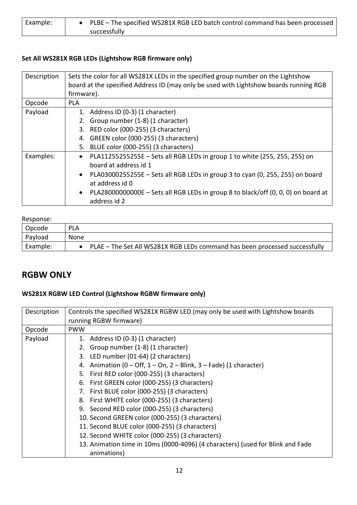| Example: | • PLBE – The specified WS281X RGB LED batch control command has been processed |
|----------|--------------------------------------------------------------------------------|
|          | successfully                                                                   |

# **Set All WS281X RGB LEDs (Lightshow RGB firmware only)**

| Description | Sets the color for all WS281X LEDs in the specified group number on the Lightshow<br>board at the specified Address ID (may only be used with Lightshow boards running RGB<br>firmware). |
|-------------|------------------------------------------------------------------------------------------------------------------------------------------------------------------------------------------|
| Opcode      | <b>PLA</b>                                                                                                                                                                               |
| Payload     | 1. Address ID (0-3) (1 character)                                                                                                                                                        |
|             | 2. Group number (1-8) (1 character)                                                                                                                                                      |
|             | 3. RED color (000-255) (3 characters)                                                                                                                                                    |
|             | 4. GREEN color (000-255) (3 characters)                                                                                                                                                  |
|             | 5. BLUE color (000-255) (3 characters)                                                                                                                                                   |
| Examples:   | PLA11255255255E - Sets all RGB LEDs in group 1 to white (255, 255, 255) on<br>$\bullet$                                                                                                  |
|             | board at address id 1                                                                                                                                                                    |
|             | PLA03000255255E - Sets all RGB LEDs in group 3 to cyan (0, 255, 255) on board<br>$\bullet$                                                                                               |
|             | at address id 0                                                                                                                                                                          |
|             | PLA28000000000E – Sets all RGB LEDs in group 8 to black/off (0, 0, 0) on board at                                                                                                        |
|             | address id 2                                                                                                                                                                             |

#### Response:

| <b>INCONOTION</b> |                                                                            |
|-------------------|----------------------------------------------------------------------------|
| Opcode            | <b>PLA</b>                                                                 |
| Payload           | None                                                                       |
| Example:          | PLAE - The Set All WS281X RGB LEDs command has been processed successfully |

# **RGBW ONLY**

# **WS281X RGBW LED Control (Lightshow RGBW firmware only)**

| Description | Controls the specified WS281X RGBW LED (may only be used with Lightshow boards |
|-------------|--------------------------------------------------------------------------------|
|             | running RGBW firmware)                                                         |
| Opcode      | <b>PWW</b>                                                                     |
| Payload     | 1. Address ID (0-3) (1 character)                                              |
|             | 2. Group number (1-8) (1 character)                                            |
|             | 3. LED number (01-64) (2 characters)                                           |
|             | Animation ( $0$ – Off, $1$ – On, $2$ – Blink, $3$ – Fade) (1 character)<br>4.  |
|             | 5. First RED color (000-255) (3 characters)                                    |
|             | 6. First GREEN color (000-255) (3 characters)                                  |
|             | 7. First BLUE color (000-255) (3 characters)                                   |
|             | 8. First WHITE color (000-255) (3 characters)                                  |
|             | 9. Second RED color (000-255) (3 characters)                                   |
|             | 10. Second GREEN color (000-255) (3 characters)                                |
|             | 11. Second BLUE color (000-255) (3 characters)                                 |
|             | 12. Second WHITE color (000-255) (3 characters)                                |
|             | 13. Animation time in 10ms (0000-4096) (4 characters) (used for Blink and Fade |
|             | animations)                                                                    |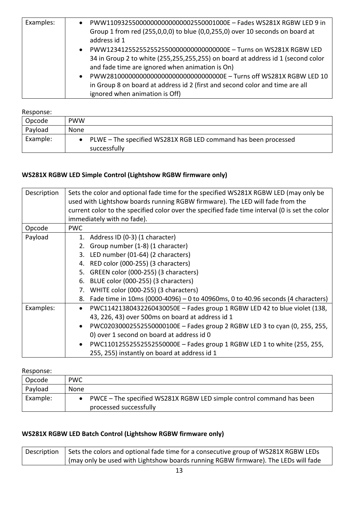| Examples: | PWW110932550000000000000002550001000E - Fades WS281X RGBW LED 9 in<br>Group 1 from red (255,0,0,0) to blue (0,0,255,0) over 10 seconds on board at<br>address id 1<br>PWW1234125525525525500000000000000000E - Turns on WS281X RGBW LED<br>$\bullet$<br>34 in Group 2 to white (255,255,255,255) on board at address id 1 (second color<br>and fade time are ignored when animation is On)<br>PWW2810000000000000000000000000000000E - Turns off WS281X RGBW LED 10<br>$\bullet$<br>in Group 8 on board at address id 2 (first and second color and time are all<br>ignored when animation is Off) |
|-----------|----------------------------------------------------------------------------------------------------------------------------------------------------------------------------------------------------------------------------------------------------------------------------------------------------------------------------------------------------------------------------------------------------------------------------------------------------------------------------------------------------------------------------------------------------------------------------------------------------|
|-----------|----------------------------------------------------------------------------------------------------------------------------------------------------------------------------------------------------------------------------------------------------------------------------------------------------------------------------------------------------------------------------------------------------------------------------------------------------------------------------------------------------------------------------------------------------------------------------------------------------|

| Opcode   | <b>PWW</b>                                                                     |
|----------|--------------------------------------------------------------------------------|
| Payload  | None                                                                           |
| Example: | PLWE - The specified WS281X RGB LED command has been processed<br>successfully |

# **WS281X RGBW LED Simple Control (Lightshow RGBW firmware only)**

| Description | Sets the color and optional fade time for the specified WS281X RGBW LED (may only be<br>used with Lightshow boards running RGBW firmware). The LED will fade from the<br>current color to the specified color over the specified fade time interval (0 is set the color |
|-------------|-------------------------------------------------------------------------------------------------------------------------------------------------------------------------------------------------------------------------------------------------------------------------|
|             | immediately with no fade).                                                                                                                                                                                                                                              |
| Opcode      | <b>PWC</b>                                                                                                                                                                                                                                                              |
| Payload     | 1. Address ID (0-3) (1 character)                                                                                                                                                                                                                                       |
|             | 2. Group number (1-8) (1 character)                                                                                                                                                                                                                                     |
|             | 3. LED number (01-64) (2 characters)                                                                                                                                                                                                                                    |
|             | 4. RED color (000-255) (3 characters)                                                                                                                                                                                                                                   |
|             | 5. GREEN color (000-255) (3 characters)                                                                                                                                                                                                                                 |
|             | 6. BLUE color (000-255) (3 characters)                                                                                                                                                                                                                                  |
|             | WHITE color (000-255) (3 characters)<br>7.                                                                                                                                                                                                                              |
|             | Fade time in 10ms (0000-4096) – 0 to 40960ms, 0 to 40.96 seconds (4 characters)<br>8.                                                                                                                                                                                   |
| Examples:   | PWC11421380432260430050E - Fades group 1 RGBW LED 42 to blue violet (138,<br>$\bullet$                                                                                                                                                                                  |
|             | 43, 226, 43) over 500ms on board at address id 1                                                                                                                                                                                                                        |
|             | PWC02030002552550000100E - Fades group 2 RGBW LED 3 to cyan (0, 255, 255,<br>$\bullet$                                                                                                                                                                                  |
|             | 0) over 1 second on board at address id 0                                                                                                                                                                                                                               |
|             | PWC11012552552552550000E - Fades group 1 RGBW LED 1 to white (255, 255,                                                                                                                                                                                                 |
|             | 255, 255) instantly on board at address id 1                                                                                                                                                                                                                            |

Response:

| Opcode   | <b>PWC</b>                                                                                     |
|----------|------------------------------------------------------------------------------------------------|
| Payload  | None                                                                                           |
| Example: | PWCE - The specified WS281X RGBW LED simple control command has been<br>processed successfully |

# **WS281X RGBW LED Batch Control (Lightshow RGBW firmware only)**

Description  $\vert$  Sets the colors and optional fade time for a consecutive group of WS281X RGBW LEDs (may only be used with Lightshow boards running RGBW firmware). The LEDs will fade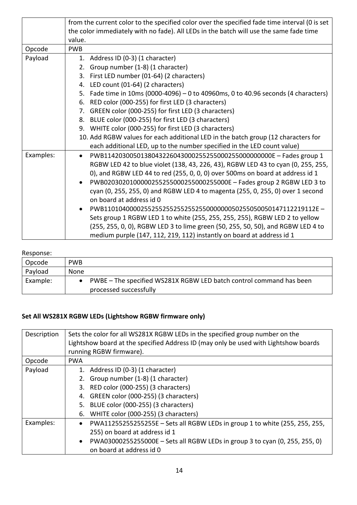|           | from the current color to the specified color over the specified fade time interval (0 is set |
|-----------|-----------------------------------------------------------------------------------------------|
|           | the color immediately with no fade). All LEDs in the batch will use the same fade time        |
|           | value.                                                                                        |
| Opcode    | <b>PWB</b>                                                                                    |
| Payload   | 1. Address ID (0-3) (1 character)                                                             |
|           | 2. Group number (1-8) (1 character)                                                           |
|           | 3. First LED number (01-64) (2 characters)                                                    |
|           | 4. LED count (01-64) (2 characters)                                                           |
|           | 5. Fade time in 10ms (0000-4096) - 0 to 40960ms, 0 to 40.96 seconds (4 characters)            |
|           | RED color (000-255) for first LED (3 characters)<br>6.                                        |
|           | 7. GREEN color (000-255) for first LED (3 characters)                                         |
|           | 8. BLUE color (000-255) for first LED (3 characters)                                          |
|           | 9. WHITE color (000-255) for first LED (3 characters)                                         |
|           | 10. Add RGBW values for each additional LED in the batch group (12 characters for             |
|           | each additional LED, up to the number specified in the LED count value)                       |
| Examples: | PWB11420300501380432260430002552550002550000000000E - Fades group 1<br>$\bullet$              |
|           | RGBW LED 42 to blue violet (138, 43, 226, 43), RGBW LED 43 to cyan (0, 255, 255,              |
|           | 0), and RGBW LED 44 to red (255, 0, 0, 0) over 500ms on board at address id 1                 |
|           | PWB0203020100000255255000255000255000E - Fades group 2 RGBW LED 3 to<br>$\bullet$             |
|           | cyan (0, 255, 255, 0) and RGBW LED 4 to magenta (255, 0, 255, 0) over 1 second                |
|           | on board at address id 0                                                                      |
|           |                                                                                               |
|           | Sets group 1 RGBW LED 1 to white (255, 255, 255, 255), RGBW LED 2 to yellow                   |
|           | (255, 255, 0, 0), RGBW LED 3 to lime green (50, 255, 50, 50), and RGBW LED 4 to               |
|           | medium purple (147, 112, 219, 112) instantly on board at address id 1                         |

| <b>ILCONUITION</b> |                                                                                               |
|--------------------|-----------------------------------------------------------------------------------------------|
| Opcode             | <b>PWB</b>                                                                                    |
| Payload            | None                                                                                          |
| Example:           | PWBE - The specified WS281X RGBW LED batch control command has been<br>processed successfully |

# **Set All WS281X RGBW LEDs (Lightshow RGBW firmware only)**

| Description | Sets the color for all WS281X RGBW LEDs in the specified group number on the<br>Lightshow board at the specified Address ID (may only be used with Lightshow boards<br>running RGBW firmware). |
|-------------|------------------------------------------------------------------------------------------------------------------------------------------------------------------------------------------------|
| Opcode      | <b>PWA</b>                                                                                                                                                                                     |
| Payload     | 1. Address ID (0-3) (1 character)                                                                                                                                                              |
|             | 2. Group number (1-8) (1 character)                                                                                                                                                            |
|             | 3. RED color (000-255) (3 characters)                                                                                                                                                          |
|             | 4. GREEN color (000-255) (3 characters)                                                                                                                                                        |
|             | 5. BLUE color (000-255) (3 characters)                                                                                                                                                         |
|             | WHITE color (000-255) (3 characters)<br>6.                                                                                                                                                     |
| Examples:   | PWA11255255255255E - Sets all RGBW LEDs in group 1 to white (255, 255, 255,<br>$\bullet$                                                                                                       |
|             | 255) on board at address id 1                                                                                                                                                                  |
|             | PWA03000255255000E - Sets all RGBW LEDs in group 3 to cyan (0, 255, 255, 0)                                                                                                                    |
|             | on board at address id 0                                                                                                                                                                       |